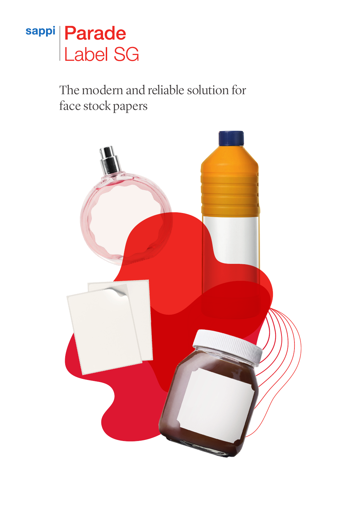

The modern and reliable solution for face stock papers